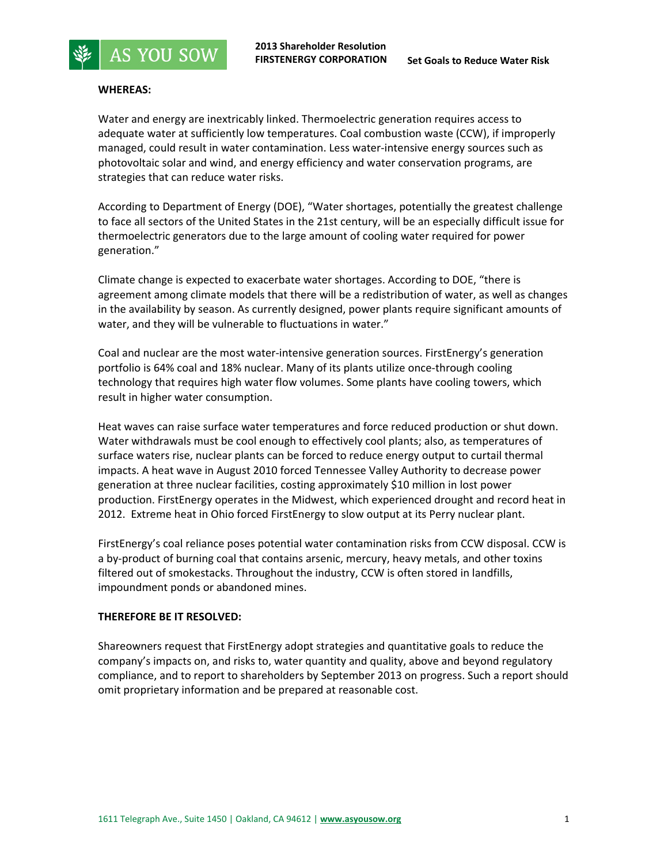



**AS YOU SOW** 

Water and energy are inextricably linked. Thermoelectric generation requires access to adequate water at sufficiently low temperatures. Coal combustion waste (CCW), if improperly managed, could result in water contamination. Less water-intensive energy sources such as photovoltaic solar and wind, and energy efficiency and water conservation programs, are strategies that can reduce water risks.

According to Department of Energy (DOE), "Water shortages, potentially the greatest challenge to face all sectors of the United States in the 21st century, will be an especially difficult issue for thermoelectric generators due to the large amount of cooling water required for power generation."

Climate change is expected to exacerbate water shortages. According to DOE, "there is agreement among climate models that there will be a redistribution of water, as well as changes in the availability by season. As currently designed, power plants require significant amounts of water, and they will be vulnerable to fluctuations in water."

Coal and nuclear are the most water‐intensive generation sources. FirstEnergy's generation portfolio is 64% coal and 18% nuclear. Many of its plants utilize once-through cooling technology that requires high water flow volumes. Some plants have cooling towers, which result in higher water consumption.

Heat waves can raise surface water temperatures and force reduced production or shut down. Water withdrawals must be cool enough to effectively cool plants; also, as temperatures of surface waters rise, nuclear plants can be forced to reduce energy output to curtail thermal impacts. A heat wave in August 2010 forced Tennessee Valley Authority to decrease power generation at three nuclear facilities, costing approximately \$10 million in lost power production. FirstEnergy operates in the Midwest, which experienced drought and record heat in 2012. Extreme heat in Ohio forced FirstEnergy to slow output at its Perry nuclear plant.

FirstEnergy's coal reliance poses potential water contamination risks from CCW disposal. CCW is a by‐product of burning coal that contains arsenic, mercury, heavy metals, and other toxins filtered out of smokestacks. Throughout the industry, CCW is often stored in landfills, impoundment ponds or abandoned mines.

## **THEREFORE BE IT RESOLVED:**

Shareowners request that FirstEnergy adopt strategies and quantitative goals to reduce the company's impacts on, and risks to, water quantity and quality, above and beyond regulatory compliance, and to report to shareholders by September 2013 on progress. Such a report should omit proprietary information and be prepared at reasonable cost.